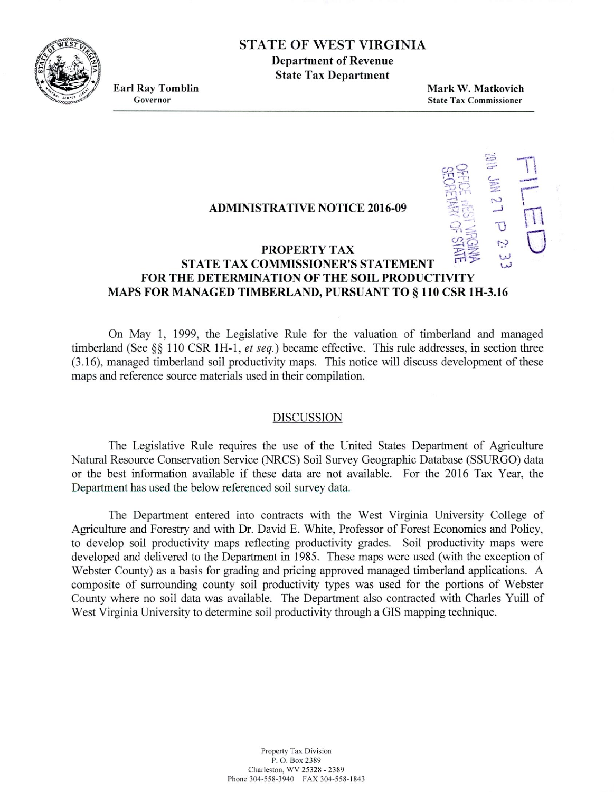STATE OF WEST VIRGINIA

**Department of Revenue State Tax Department**

**Earl Ray Tomblin**<br> **Earl Ray Tomblin**<br> **Governor**<br> **State Tax Commissioner State Tax Commissioner** 

 $#$ 

## **ADMINISTRATIVE NOTICE 2016-09**

## **PROPERTY TAX**  $\begin{bmatrix} 0 & 0 \\ \frac{1}{2} & \frac{1}{2} \\ \frac{1}{2} & \frac{1}{2} \end{bmatrix}$ **STATE TAX COMMISSIONER'S STATEMENT FOR THE DETERMINATION OF THE SOIL PRODUCTIVITY MAPS FOR MANAGED TIMBERLAND, PURSUANT TO** § **110 CSR 111-3.16**

On May 1. 1999, the Legislative Rule for the valuation of timberland and managed timberland (See  $\S$ § 110 CSR 1H-1, *et seq.*) became effective. This rule addresses, in section three (3.16), managed timberland soil productivity maps. This notice will discuss development of these maps and reference source materials used in their compilation.

## DISCUSSION

The Legislative Rule requires the use of the United States Department of Agriculture Natural Resource Conservation Service (NRCS) Soil Survey Geographic Database (SSURGO) data or the best information available if these data are not available. For the 2016 Tax Year, the Department has used the below referenced soil survey data.

The Department entered into contracts with the West Virginia University College of Agriculture and Forestry and with Dr. David E. White, Professor of Forest Economics and Policy, to develop soil productivity maps reflecting productivity grades. Soil productivity maps were developed and delivered to the Department in *1985.* These maps were used (with the exception of Webster County) as a basis for grading and pricing approved managed timberland applications. A composite of surrounding county soil productivity types was used for the portions of Webster County where no soil data was available. The Department also comracted with Charles Yuill of West Virginia University to determine soil productivity through a GIS mapping technique.